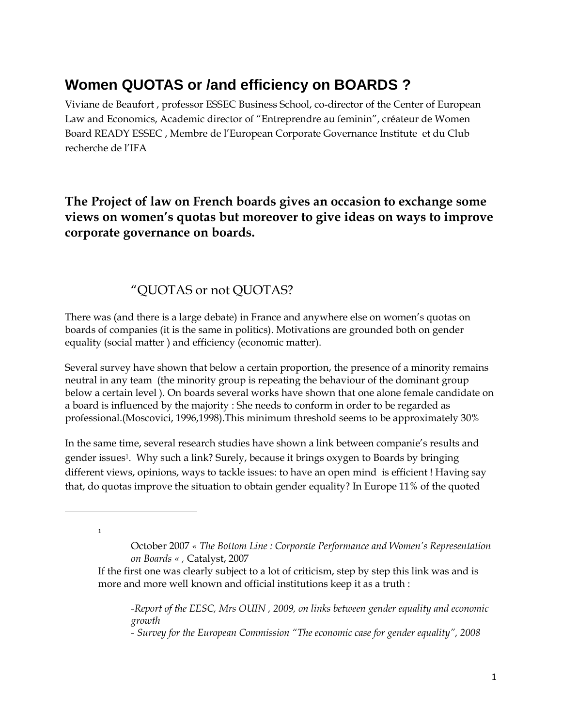# **Women QUOTAS or /and efficiency on BOARDS ?**

Viviane de Beaufort , professor ESSEC Business School, co-director of the Center of European Law and Economics, Academic director of "Entreprendre au feminin", créateur de Women Board READY ESSEC , Membre de l'European Corporate Governance Institute et du Club recherche de l'IFA

### **The Project of law on French boards gives an occasion to exchange some views on women's quotas but moreover to give ideas on ways to improve corporate governance on boards.**

### "QUOTAS or not QUOTAS?

There was (and there is a large debate) in France and anywhere else on women's quotas on boards of companies (it is the same in politics). Motivations are grounded both on gender equality (social matter ) and efficiency (economic matter).

Several survey have shown that below a certain proportion, the presence of a minority remains neutral in any team (the minority group is repeating the behaviour of the dominant group below a certain level ). On boards several works have shown that one alone female candidate on a board is influenced by the majority : She needs to conform in order to be regarded as professional.(Moscovici, 1996,1998).This minimum threshold seems to be approximately 30%

In the same time, several research studies have shown a link between companie's results and gender issues<sup>1</sup>. Why such a link? Surely, because it brings oxygen to Boards by bringing different views, opinions, ways to tackle issues: to have an open mind is efficient ! Having say that, do quotas improve the situation to obtain gender equality? In Europe 11% of the quoted

1

 $\overline{a}$ 

*-Report of the EESC, Mrs OUIN , 2009, on links between gender equality and economic growth*

*- Survey for the European Commission "The economic case for gender equality", 2008* 

October 2007 *« The Bottom Line : Corporate Performance and Women's Representation on Boards « ,* Catalyst, 2007

If the first one was clearly subject to a lot of criticism, step by step this link was and is more and more well known and official institutions keep it as a truth :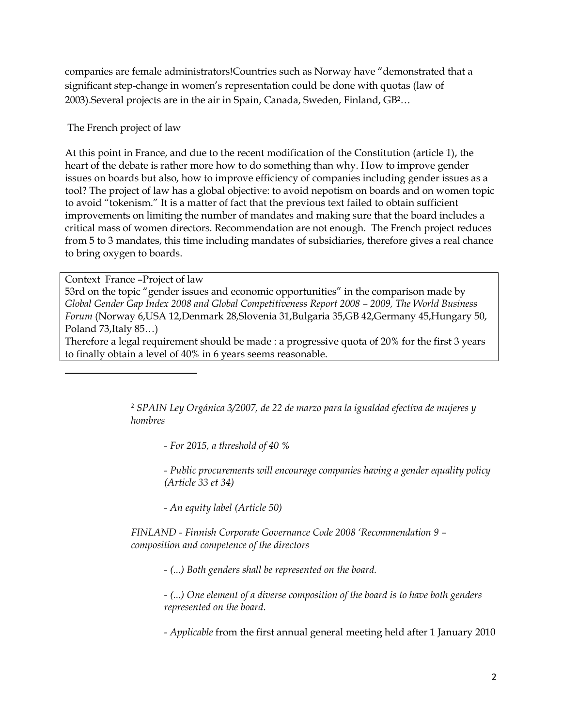companies are female administrators!Countries such as Norway have "demonstrated that a significant step-change in women's representation could be done with quotas (law of 2003).Several projects are in the air in Spain, Canada, Sweden, Finland, GB2…

The French project of law

At this point in France, and due to the recent modification of the Constitution (article 1), the heart of the debate is rather more how to do something than why. How to improve gender issues on boards but also, how to improve efficiency of companies including gender issues as a tool? The project of law has a global objective: to avoid nepotism on boards and on women topic to avoid "tokenism." It is a matter of fact that the previous text failed to obtain sufficient improvements on limiting the number of mandates and making sure that the board includes a critical mass of women directors. Recommendation are not enough. The French project reduces from 5 to 3 mandates, this time including mandates of subsidiaries, therefore gives a real chance to bring oxygen to boards.

Context France –Project of law

 $\overline{a}$ 

53rd on the topic "gender issues and economic opportunities" in the comparison made by *Global Gender Gap Index 2008 and Global Competitiveness Report 2008 – 2009, The World Business Forum* (Norway 6,USA 12,Denmark 28,Slovenia 31,Bulgaria 35,GB 42,Germany 45,Hungary 50, Poland 73,Italy 85…)

Therefore a legal requirement should be made : a progressive quota of 20% for the first 3 years to finally obtain a level of 40% in 6 years seems reasonable.

> <sup>2</sup> *SPAIN Ley Orgánica 3/2007, de 22 de marzo para la igualdad efectiva de mujeres y hombres*

*- For 2015, a threshold of 40 %* 

*- Public procurements will encourage companies having a gender equality policy (Article 33 et 34)*

*- An equity label (Article 50)*

*FINLAND - Finnish Corporate Governance Code 2008 'Recommendation 9 – composition and competence of the directors*

*- (...) Both genders shall be represented on the board.*

*- (...) One element of a diverse composition of the board is to have both genders represented on the board.* 

*- Applicable* from the first annual general meeting held after 1 January 2010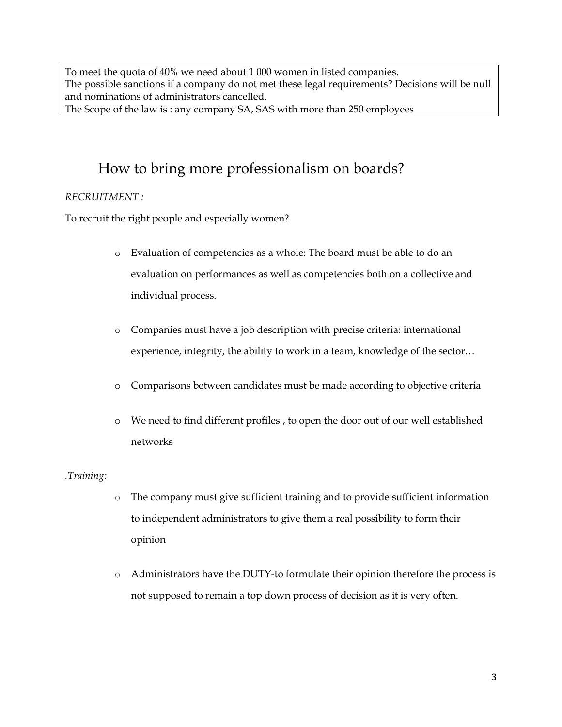To meet the quota of 40% we need about 1 000 women in listed companies. The possible sanctions if a company do not met these legal requirements? Decisions will be null and nominations of administrators cancelled. The Scope of the law is : any company SA, SAS with more than 250 employees

## How to bring more professionalism on boards?

#### *RECRUITMENT :*

To recruit the right people and especially women?

- o Evaluation of competencies as a whole: The board must be able to do an evaluation on performances as well as competencies both on a collective and individual process.
- o Companies must have a job description with precise criteria: international experience, integrity, the ability to work in a team, knowledge of the sector…
- o Comparisons between candidates must be made according to objective criteria
- o We need to find different profiles , to open the door out of our well established networks

#### *.Training:*

- o The company must give sufficient training and to provide sufficient information to independent administrators to give them a real possibility to form their opinion
- o Administrators have the DUTY-to formulate their opinion therefore the process is not supposed to remain a top down process of decision as it is very often.